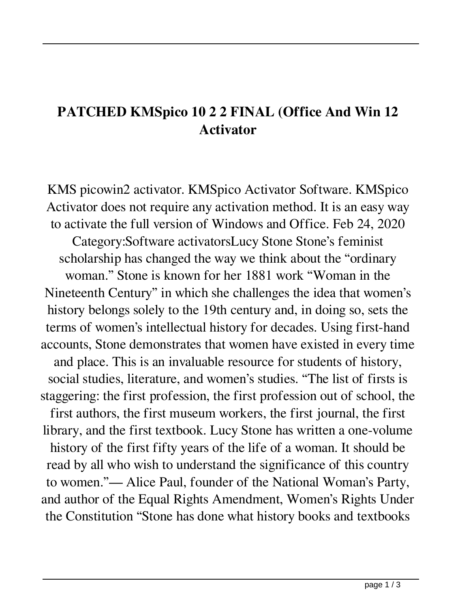## **PATCHED KMSpico 10 2 2 FINAL (Office And Win 12 Activator**

KMS picowin2 activator. KMSpico Activator Software. KMSpico Activator does not require any activation method. It is an easy way to activate the full version of Windows and Office. Feb 24, 2020 Category:Software activatorsLucy Stone Stone's feminist scholarship has changed the way we think about the "ordinary woman." Stone is known for her 1881 work "Woman in the Nineteenth Century" in which she challenges the idea that women's history belongs solely to the 19th century and, in doing so, sets the terms of women's intellectual history for decades. Using first-hand accounts, Stone demonstrates that women have existed in every time and place. This is an invaluable resource for students of history, social studies, literature, and women's studies. "The list of firsts is staggering: the first profession, the first profession out of school, the first authors, the first museum workers, the first journal, the first library, and the first textbook. Lucy Stone has written a one-volume history of the first fifty years of the life of a woman. It should be read by all who wish to understand the significance of this country to women."— Alice Paul, founder of the National Woman's Party, and author of the Equal Rights Amendment, Women's Rights Under the Constitution "Stone has done what history books and textbooks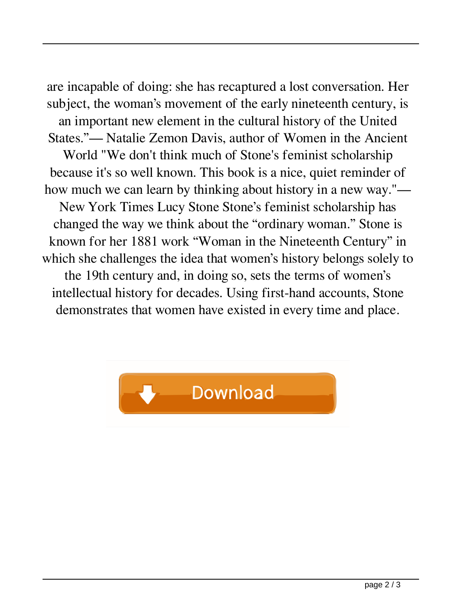are incapable of doing: she has recaptured a lost conversation. Her subject, the woman's movement of the early nineteenth century, is an important new element in the cultural history of the United States."— Natalie Zemon Davis, author of Women in the Ancient World "We don't think much of Stone's feminist scholarship because it's so well known. This book is a nice, quiet reminder of how much we can learn by thinking about history in a new way."— New York Times Lucy Stone Stone's feminist scholarship has changed the way we think about the "ordinary woman." Stone is known for her 1881 work "Woman in the Nineteenth Century" in which she challenges the idea that women's history belongs solely to the 19th century and, in doing so, sets the terms of women's intellectual history for decades. Using first-hand accounts, Stone demonstrates that women have existed in every time and place.